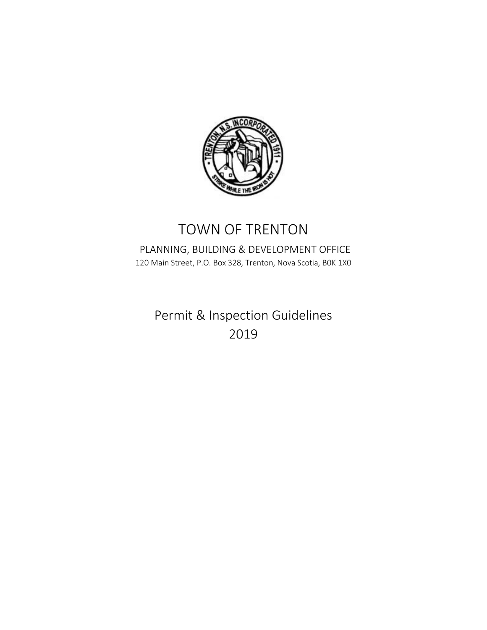

## TOWN OF TRENTON

## PLANNING, BUILDING & DEVELOPMENT OFFICE 120 Main Street, P.O. Box 328, Trenton, Nova Scotia, B0K 1X0

Permit & Inspection Guidelines 2019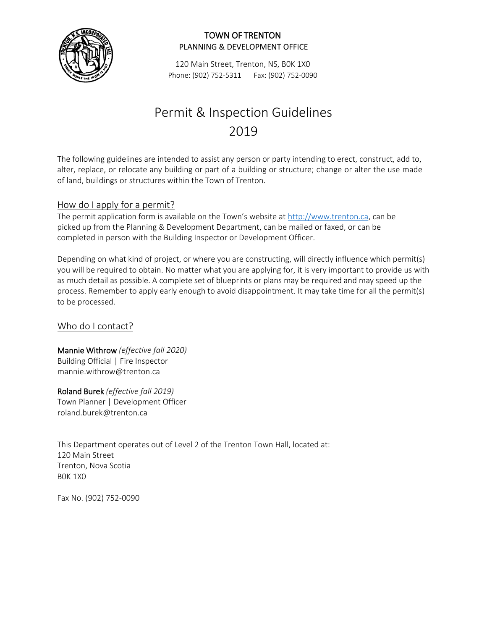

120 Main Street, Trenton, NS, B0K 1X0 Phone: (902) 752-5311 Fax: (902) 752-0090

# Permit & Inspection Guidelines 2019

The following guidelines are intended to assist any person or party intending to erect, construct, add to, alter, replace, or relocate any building or part of a building or structure; change or alter the use made of land, buildings or structures within the Town of Trenton.

## How do I apply for a permit?

The permit application form is available on the Town's website at [http://www.](http://www.trenton.ca)trenton.ca, can be picked up from the Planning & Development Department, can be mailed or faxed, or can be completed in person with the Building Inspector or Development Officer.

Depending on what kind of project, or where you are constructing, will directly influence which permit(s) you will be required to obtain. No matter what you are applying for, it is very important to provide us with as much detail as possible. A complete set of blueprints or plans may be required and may speed up the process. Remember to apply early enough to avoid disappointment. It may take time for all the permit(s) to be processed.

## Who do I contact?

Mannie Withrow *(effective fall 2020)* Building Official | Fire Inspector [mannie.withrow@trenton.ca](mailto:mannie.withrow@trenton.ca)

Roland Burek *(effective fall 2019)* Town Planner | Development Officer [roland.burek@trenton.ca](mailto:roland.burek@trenton.ca)

This Department operates out of Level 2 of the Trenton Town Hall, located at: 120 Main Street Trenton, Nova Scotia B0K 1X0

Fax No. (902) 752-0090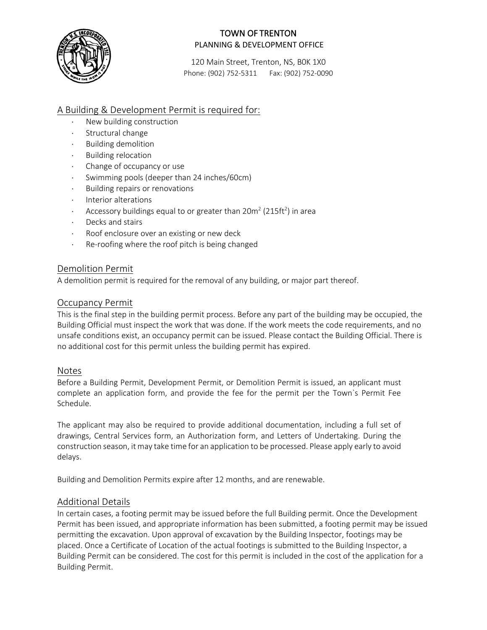

120 Main Street, Trenton, NS, B0K 1X0 Phone: (902) 752-5311 Fax: (902) 752-0090

## A Building & Development Permit is required for:

- New building construction
- Structural change
- ⋅ Building demolition
- Building relocation
- ⋅ Change of occupancy or use
- ⋅ Swimming pools (deeper than 24 inches/60cm)
- ⋅ Building repairs or renovations
- ⋅ Interior alterations
- $\cdot$  Accessory buildings equal to or greater than 20m<sup>2</sup> (215ft<sup>2</sup>) in area
- ⋅ Decks and stairs
- ⋅ Roof enclosure over an existing or new deck
- ⋅ Re-roofing where the roof pitch is being changed

#### Demolition Permit

A demolition permit is required for the removal of any building, or major part thereof.

#### Occupancy Permit

This is the final step in the building permit process. Before any part of the building may be occupied, the Building Official must inspect the work that was done. If the work meets the code requirements, and no unsafe conditions exist, an occupancy permit can be issued. Please contact the Building Official. There is no additional cost for this permit unless the building permit has expired.

#### Notes

Before a Building Permit, Development Permit, or Demolition Permit is issued, an applicant must complete an application form, and provide the fee for the permit per the Town`s Permit Fee Schedule.

The applicant may also be required to provide additional documentation, including a full set of drawings, Central Services form, an Authorization form, and Letters of Undertaking. During the construction season, it may take time for an application to be processed. Please apply early to avoid delays.

Building and Demolition Permits expire after 12 months, and are renewable.

#### Additional Details

In certain cases, a footing permit may be issued before the full Building permit. Once the Development Permit has been issued, and appropriate information has been submitted, a footing permit may be issued permitting the excavation. Upon approval of excavation by the Building Inspector, footings may be placed. Once a Certificate of Location of the actual footings is submitted to the Building Inspector, a Building Permit can be considered. The cost for this permit is included in the cost of the application for a Building Permit.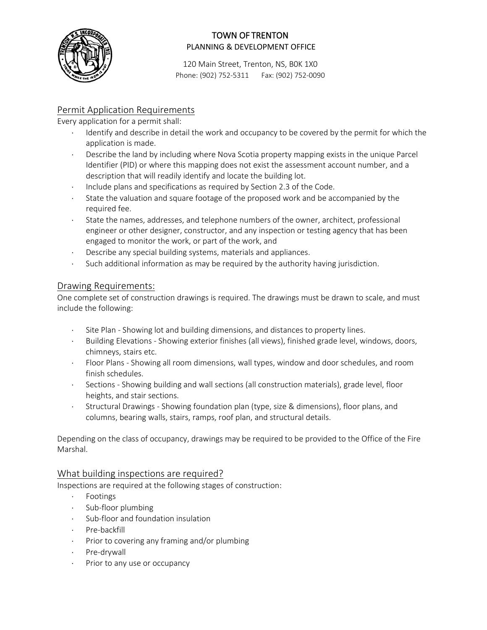

120 Main Street, Trenton, NS, B0K 1X0 Phone: (902) 752-5311 Fax: (902) 752-0090

## Permit Application Requirements

Every application for a permit shall:

- Identify and describe in detail the work and occupancy to be covered by the permit for which the application is made.
- Describe the land by including where Nova Scotia property mapping exists in the unique Parcel Identifier (PID) or where this mapping does not exist the assessment account number, and a description that will readily identify and locate the building lot.
- Include plans and specifications as required by Section 2.3 of the Code.
- ⋅ State the valuation and square footage of the proposed work and be accompanied by the required fee.
- ⋅ State the names, addresses, and telephone numbers of the owner, architect, professional engineer or other designer, constructor, and any inspection or testing agency that has been engaged to monitor the work, or part of the work, and
- ⋅ Describe any special building systems, materials and appliances.
- ⋅ Such additional information as may be required by the authority having jurisdiction.

#### Drawing Requirements:

One complete set of construction drawings is required. The drawings must be drawn to scale, and must include the following:

- Site Plan Showing lot and building dimensions, and distances to property lines.
- ⋅ Building Elevations Showing exterior finishes (all views), finished grade level, windows, doors, chimneys, stairs etc.
- ⋅ Floor Plans Showing all room dimensions, wall types, window and door schedules, and room finish schedules.
- ⋅ Sections Showing building and wall sections (all construction materials), grade level, floor heights, and stair sections.
- ⋅ Structural Drawings Showing foundation plan (type, size & dimensions), floor plans, and columns, bearing walls, stairs, ramps, roof plan, and structural details.

Depending on the class of occupancy, drawings may be required to be provided to the Office of the Fire Marshal.

## What building inspections are required?

Inspections are required at the following stages of construction:

- ⋅ Footings
- ⋅ Sub-floor plumbing
- ⋅ Sub-floor and foundation insulation
- ⋅ Pre-backfill
- ⋅ Prior to covering any framing and/or plumbing
- ⋅ Pre-drywall
- ⋅ Prior to any use or occupancy